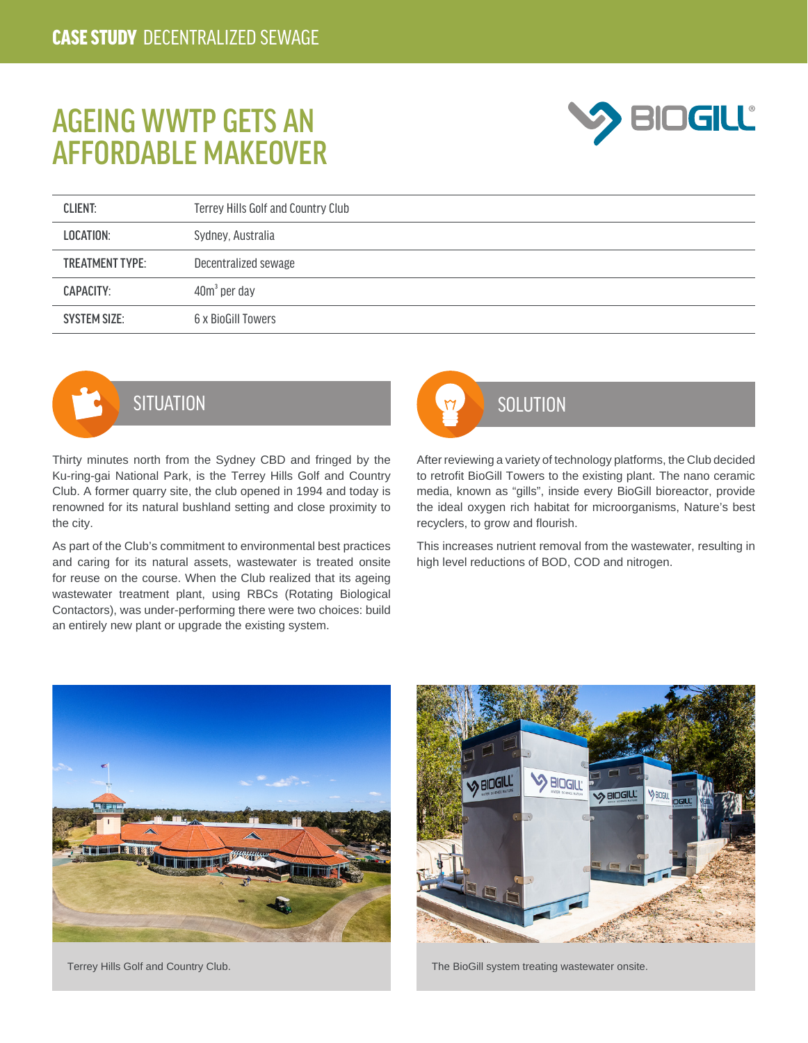## AGEING WWTP GETS AN AFFORDABLE MAKEOVER



| <b>CLIENT:</b>         | Terrey Hills Golf and Country Club |
|------------------------|------------------------------------|
| LOCATION:              | Sydney, Australia                  |
| <b>TREATMENT TYPE:</b> | Decentralized sewage               |
| CAPACITY:              | $40m3$ per day                     |
| <b>SYSTEM SIZE:</b>    | 6 x BioGill Towers                 |



Thirty minutes north from the Sydney CBD and fringed by the Ku-ring-gai National Park, is the Terrey Hills Golf and Country Club. A former quarry site, the club opened in 1994 and today is renowned for its natural bushland setting and close proximity to the city.

As part of the Club's commitment to environmental best practices and caring for its natural assets, wastewater is treated onsite for reuse on the course. When the Club realized that its ageing wastewater treatment plant, using RBCs (Rotating Biological Contactors), was under-performing there were two choices: build an entirely new plant or upgrade the existing system.



After reviewing a variety of technology platforms, the Club decided to retrofit BioGill Towers to the existing plant. The nano ceramic media, known as "gills", inside every BioGill bioreactor, provide the ideal oxygen rich habitat for microorganisms, Nature's best recyclers, to grow and flourish.

This increases nutrient removal from the wastewater, resulting in high level reductions of BOD, COD and nitrogen.





Terrey Hills Golf and Country Club. The BioGill system treating wastewater onsite.